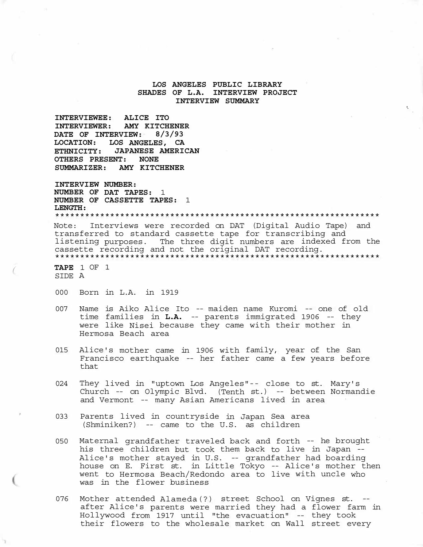# **LOS ANGELES PUBLIC LIBRARY SHADES OF L.A. INTERVIEW PROJECT INTERVIEW SUMMARY**

'·

**INTERVIEWEE: ALICE ITO INTERVIEWER: AMY KITCHENER DATE OF INTERVIEW: 8/3/93 LOCATION: LOS ANGELES, CA ETHNICITY: JAPANESE AMERICAN OTHERS PRESENT: NONE SUMMARIZER: AMY KITCHENER** 

**INTERVIEW NUMBER: NUMBER OF DAT TAPES:** 1 **NUMBER OF CASSETTE TAPES:** 1 **LENGTH:**  \*\*\*\*\*\*\*\*\*\*\*\*\*\*\*\*\*\*\*\*\*\*\*\*\*\*\*\*\*\*\*\*\*\*\*\*\*\*\*\*\*\*\*\*\*\*\*\*\*\*\*\*\*\*\*\*\*\*\*\*\*\*\*\*\*

Note: Interviews were recorded on DAT (Digital Audio Tape) and transferred to standard cassette tape for transcribing and listening purposes. The three digit numbers are indexed from the cassette recording and not the original DAT recording. \*\*\*\*\*\*\*\*\*\*\*\*\*\*\*\*\*\*\*\*\*\*\*\*\*\*\*\*\*\*\*\*\*\*\*\*\*\*\*\*\*\*\*\*\*\*\*\*\*\*\*\*\*\*\*\*\*\*\*\*\*\*\*\*\*

*(* **TAPE** 1 OF 1 SIDE A

- 000 Born in L.A. in 1919
- 007 Name is Aiko Alice Ito -- maiden name Kuromi -- one of old time families in **L.A.** -- parents immigrated 1906 -- they were like Nisei because they came with their mother in Hermosa Beach area
- 015 Alice's mother came in 1906 with family, year of the San Francisco earthquake -- her father came a few years before that
- 024 They lived in "uptown Los Angeles"-- close to st. Mary's Church -- on Olympic Blvd. (Tenth st.) -- between Normandie and Vermont -- many Asian Americans lived in area
- 033 Parents lived in countryside in Japan Sea area (Shminiken?) -- came to the U.S. as children
- 050 Maternal grandfather traveled back and forth -- he brought his three children but took them back to live in Japan - - Alice's mother stayed in U.S. -- grandfather had boarding house on E. First st. in Little Tokyo -- Alice's mother then went to Hermosa Beach/Redondo area to live with uncle who was in the flower business
- 076 Mother attended Alameda(?) street School on Vignes st. after Alice's parents were married they had a flower farm in Hollywood from 1917 until "the evacuation" -- they took their flowers to the wholesale market on Wall street every Mother attended Alameda(?) street School on Vignes st. --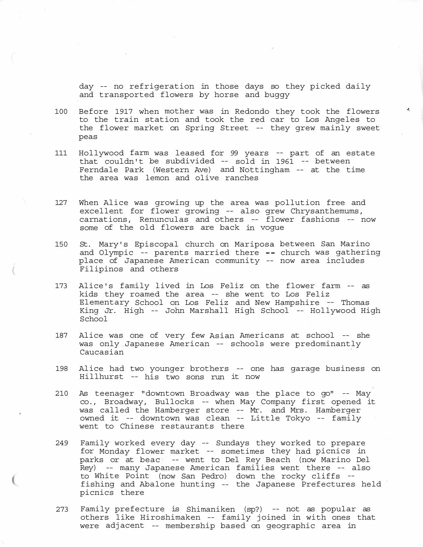day -- no refrigeration in those days so they picked daily and transported flowers by horse and buggy

- 100 Before 1917 when mother was in Redondo they took the flowers to the train station and took the red car to Los Angeles to the flower market on Spring Street -- they grew mainly sweet peas
- 111 Hollywood farm was leased for 99 years -- part of an estate that couldn't be subdivided -- sold in 1961 -- between Ferndale Park (Western Ave) and Nottingham -- at the time the area was lemon and olive ranches
- 127 When Alice was growing up the area was pollution free and excellent for flower growing -- also grew Chrysanthemums, carnations, Renunculas and others -- flower fashions -- now some of the old flowers are back in vogue
- 150 St. Mary's Episcopal church on Mariposa between San Marino and Olympic  $-$ - parents married there  $-$ - church was gathering place of Japanese American community -- now area includes Filipinos and others
- 173 Alice's family lived in Los Feliz on the flower farm -- as kids they roamed the area -- she went to Los Feliz Elementary School on Los Feliz and New Hampshire -- Thomas King Jr. High -- John Marshall High School -- Hollywood High School
- 187 Alice was one of very few Asian Americans at school -- she was only Japanese American -- schools were predominantly Caucasian
- 198 Alice had two younger brothers -- one has garage business on Hillhurst -- his two sons run it now
- 210 As teenager "downtown Broadway was the place to go" -- May co., Broadway, Bullocks -- when May Company first opened it was called the Hamberger store -- Mr. and Mrs. Hamberger owned it -- downtown was clean -- Little Tokyo -- family went to Chinese restaurants there
- 249 Family worked every day -- Sundays they worked to prepare for Monday flower market -- sometimes they had picnics in parks or at beac -- went to Del Rey Beach (now Marino Del Rey) -- many Japanese American families went there -- also to White Point (now San Pedro) down the rocky cliffs fishing and Abalone hunting -- the Japanese Prefectures held picnics there -
- 273 Family prefecture is Shimaniken (sp?) -- not as popular as others like Hiroshimaken -- family joined in with ones that were adjacent -- membership based on geographic area in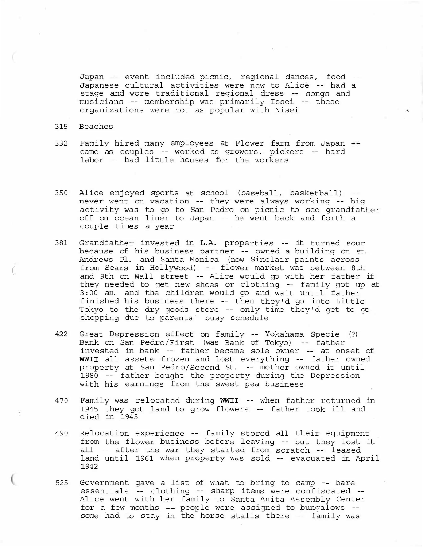Japan -- event included picnic, regional dances, food -- Japanese cultural activities were new to Alice -- had a stage and wore traditional regional dress -- songs and musicians -- membership was primarily Issei -- these organizations were not as popular with Nisei

 $\lambda$ 

### 315 Beaches

(

- 332 Family hired many employees at Flower farm from Japan came as couples -- worked as growers, pickers -- hard labor -- had little houses for the workers
- 350 Alice enjoyed sports at school (baseball, basketball) never went on vacation -- they were always working -- big activity was to go to San Pedro on picnic to see grandfather off on ocean liner to Japan -- he went back and forth a couple times a year
- 381 Grandfather invested in L.A. properties -- it turned sour because of his business partner -- owned a building on st. Andrews Pl. and Santa Monica (now Sinclair paints across from Sears in Hollywood) -- flower market was between 8th and 9th on Wall street -- Alice would go with her father if they needed to get new shoes or clothing -- family got up at 3:00 am. and the children would go and wait until father finished his business there -- then they'd go into Little Tokyo to the dry goods store -- only time they'd get to go shopping due to parents' busy schedule
- 422 Great Depression effect on family -- Yokahama Specie (?) Bank on San Pedro/First (was Bank of Tokyo) -- father invested in bank -- father became sole owner -- at onset of **WWII** all assets frozen and lost everything -- father owned property at San Pedro/Second St. -- mother owned it until 1980 -- father bought the property during the Depression with his earnings from the sweet pea business
- 470 Family was relocated during **WWII** -- when father returned in 1945 they got land to grow flowers -- father took ill and died in 1945
- 490 Relocation experience -- family stored all their equipment from the flower business before leaving -- but they lost it all -- after the war they started from scratch -- leased land until 1961 when property was sold -- evacuated in April 1942
- 525 Government gave a list of what to bring to camp -- bare essentials -- clothing -- sharp items were confiscated -- Alice went with her family to Santa Anita Assembly Center for a few months  $-$ - people were assigned to bungalows  $-$ some had to stay in the horse stalls there -- family was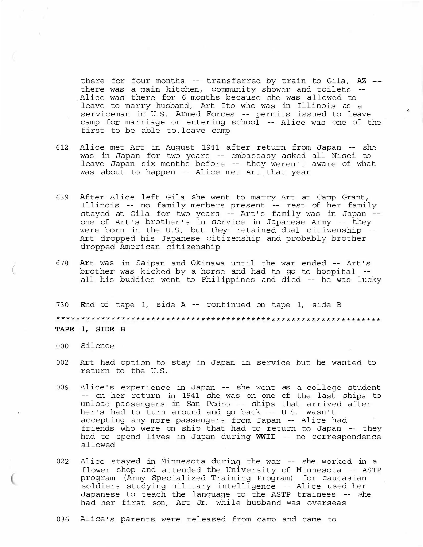there for four months -- transferred by train to Gila,  $AZ$  -there was a main kitchen, community shower and toilets -- Alice was there for 6 months because she was allowed to leave to marry husband, Art Ito who was in Illinois as a serviceman in U.S. Armed Forces -- permits issued to leave camp for marriage or entering school -- Alice was one of the first to be able to.leave camp

- 612 Alice met Art in August 1941 after return from Japan -- she was in Japan for two years -- embassasy asked all Nisei to leave Japan six months before -- they weren't aware of what was about to happen -- Alice met Art that year
- 639 After Alice left Gila she went to marry Art at Camp Grant, Illinois -- no family members present -- rest of her family stayed at Gila for two years -- Art's family was in Japan - one of Art's brother's in service in Japanese Army -- they were born in the U.S. but they· retained dual citizenship -- Art dropped his Japanese citizenship and probably brother dropped American citizenship
- 678 Art was in Saipan and Okinawa until the war ended -- Art's brother was kicked by a horse and had to go to hospital - all his buddies went to Philippines and died -- he was lucky

730 End of tape 1, side A -- continued on tape 1, side B \*\*\*\*\*\*\*\*\*\*\*\*\*\*\*\*\*\*\*\*\*\*\*\*\*\*\*\*\*\*\*\*\*\*\*\*\*\*\*\*\*\*\*\*\*\*\*\*\*\*\*\*\*\*\*\*\*\*\*\*\*\*\*\*\* **TAPE 1, SIDE B** 

000 Silence

 $\overline{(\ }$ 

- 002 Art had option to stay in Japan in service but he wanted to return to the U.S.
- 006 Alice's experience in Japan -- she went as a college student -- on her return in 1941 she was on one of the last ships to unload passengers in San Pedro -- ships that arrived after her's had to turn around and go back -- U.S. wasn't accepting any more passengers from Japan -- Alice had friends who were on ship that had to return to Japan -- they had to spend lives in Japan during **WWII** -- no correspondence allowed
- 022 Alice stayed in Minnesota during the war -- she worked in a flower shop and attended the University of Minnesota -- ASTP program (Army Specialized Training Program) for caucasian soldiers studying military intelligence -- Alice used her Japanese to teach the language to the ASTP trainees -- she had her first son, Art Jr. while husband was overseas
- 036 Alice's parents were released from camp and came to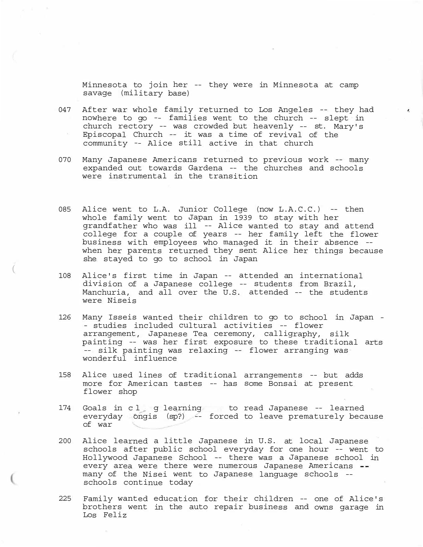Minnesota to join her -- they were in Minnesota at camp savage (military base)

 $\lambda$ 

- 047 After war whole family returned to Los Angeles -- they had nowhere to go -- families went to the church -- slept in church rectory -- was crowded but heavenly -- st. Mary's Episcopal Church -- it was a time of revival of the community -- Alice still active in that church
- 070 Many Japanese Americans returned to previous work -- many expanded out towards Gardena -- the churches and schools were instrumental in the transition
- 085 Alice went to L.A. Junior College (now L.A.C.C.) -- then whole family went to Japan in 1939 to stay with her grandfather who was ill -- Alice wanted to stay and attend college for a couple of years -- her family left the flower business with employees who managed it in their absence - when her parents returned they sent Alice her things because she stayed to go to school in Japan
- 108 Alice's first time in Japan -- attended an international division of a Japanese college -- students from Brazil, Manchuria, and all over the U.S. attended -- the students were Niseis
- 126 Many Isseis wanted their children to go to school in Japan - studies included cultural activities -- flower arrangement, Japanese Tea ceremony, calligraphy, silk painting -- was her first exposure to these traditional arts -- silk painting was relaxing -- flower arranging was wonderful influence
- 158 Alice used lines of traditional arrangements -- but adds more for American tastes -- has some Bonsai at present flower shop
- 174 Goals in cl g learning to read Japanese -- learned everyday ongis (sp?) -- forced to leave prematurely because of war
- 200 Alice learned a little Japanese in U.S. at local Japanese schools after public school everyday for one hour -- went to Hollywood Japanese School -- there was a Japanese school in every area were there were numerous Japanese Americans -many of the Nisei went to Japanese language schools - schools continue today
- 225 Family wanted education for their children -- one of Alice's brothers went in the auto repair business and owns garage in Los Feliz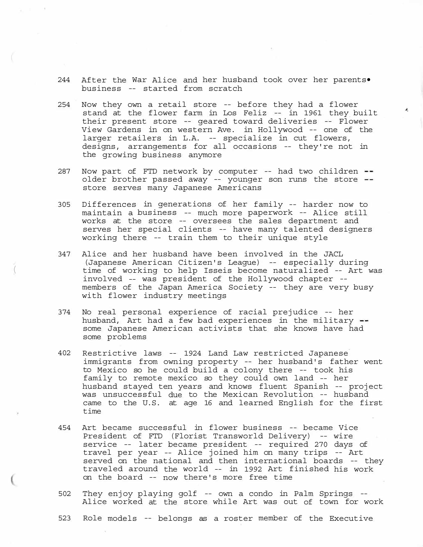- 244 After the War Alice and her husband took over her parents• business -- started from scratch
- 254 Now they own a retail store -- before they had a flower stand at the flower farm in Los Feliz -- in 1961 they built their present store -- geared toward deliveries -- Flower View Gardens in on western Ave. in Hollywood -- one of the larger retailers in L.A. -- specialize in cut flowers, designs, arrangements for all occasions -- they're not in the growing business anymore
- 287 Now part of FTD network by computer -- had two children -older brother passed away -- younger son runs the store -store serves many Japanese Americans
- 305 Differences in generations of her family -- harder now to maintain a business -- much more paperwork -- Alice still works at the store -- oversees the sales department and serves her special clients -- have many talented designers working there -- train them to their unique style
- 347 Alice and her husband have been involved in the JACL (Japanese American Citizen's League) -- especially during time of working to help Isseis become naturalized -- Art was involved -- was president of the Hollywood chapter - members of the Japan America Society -- they are very busy with flower industry meetings

 $\left($ 

- 374 No real personal experience of racial prejudice -- her husband, Art had a few bad experiences in the military -some Japanese American activists that she knows have had some problems
- 402 Restrictive laws -- 1924 Land Law restricted Japanese immigrants from owning property -- her husband's father went to Mexico so he could build a colony there -- took his family to remote mexico so they could own land -- her husband stayed ten years and knows fluent Spanish -- project was unsuccessful due to the Mexican Revolution -- husband came to the U.S. at age 16 and learned English for the first time
- 454 Art became successful in flower business -- became Vice President of FTD (Florist Transworld Delivery) -- wire service -- later became president -- required 270 days of travel per year -- Alice joined him on many trips -- Art served on the national and then international boards -- they traveled around the world -- in 1992 Art finished his work on the board -- now there's more free time
- 502 They enjoy playing golf -- own a condo in Palm Springs -- Alice worked at the store while Art was out of town for work
- 523 Role models -- belongs as a roster member of the Executive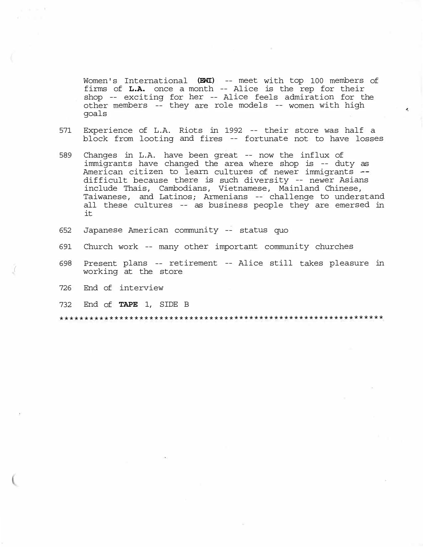Women's International **(EWI)** -- meet with top 100 members of firms of **L.A.** once a month -- Alice is the rep for their shop -- exciting for her -- Alice feels admiration for the other members -- they are role models -- women with high goals

- 571 Experience of L.A. Riots in 1992 -- their store was half a block from looting and fires -- fortunate not to have losses
- 589 Changes in L.A. have been great -- now the influx of immigrants have changed the area where shop is -- duty as American citizen to learn cultures of newer immigrants -difficult because there is such diversity -- newer Asians include Thais, Cambodians, Vietnamese, Mainland Chinese, Taiwanese, and Latinos; Armenians -- challenge to understand all these cultures -- as business people they are emersed in it
- 652 Japanese American community -- status quo
- 691 Church work -- many other important community churches
- 698 Present plans -- retirement -- Alice still takes pleasure in working at the store
- 726 End of interview

*(* 

732 End of **TAPE** 1, SIDE B

\*\*\*\*\*\*\*\*\*\*\*\*\*\*\*\*\*\*\*\*\*\*\*\*\*\*\*\*\*\*\*\*\*\*\*\*\*\*\*\*\*\*\*\*\*\*\*\*\*\*\*\*\*\*\*\*\*\*\*\*\*\*\*\*\*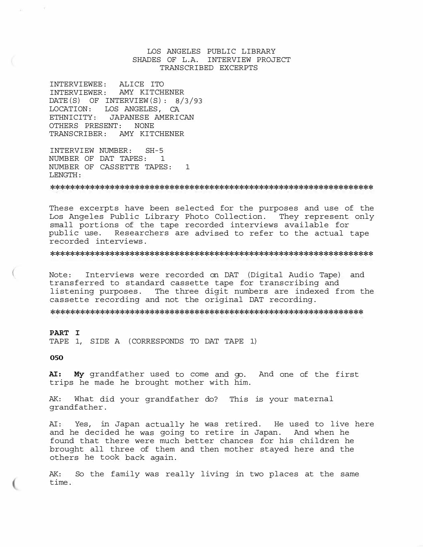## LOS ANGELES PUBLIC LIBRARY SHADES OF L.A. INTERVIEW PROJECT TRANSCRIBED EXCERPTS

INTERVIEWEE: ALICE ITO INTERVIEWER: AMY KITCHENER DATE(S) OF INTERVIEW(S): 8/3/93 LOCATION: LOS ANGELES, CA ETHNICITY: JAPANESE AMERICAN OTHERS PRESENT: NONE TRANSCRIBER: AMY KITCHENER

INTERVIEW NUMBER: SH-5 NUMBER OF DAT TAPES: 1 NUMBER OF CASSETTE TAPES: 1 LENGTH:

\*\*\*\*\*\*\*\*\*\*\*\*\*\*\*\*\*\*\*\*\*\*\*\*\*\*\*\*\*\*\*\*\*\*\*\*\*\*\*\*\*\*\*\*\*\*\*\*\*\*\*\*\*\*\*\*\*\*\*\*\*\*\*\*\*

These excerpts have been selected for the purposes and use of the Los Angeles Public Library Photo Collection. They represent only small portions of the tape recorded interviews available for public use. Researchers are advised to refer to the actual tape recorded interviews.

\*\*\*\*\*\*\*\*\*\*\*\*\*\*\*\*\*\*\*\*\*\*\*\*\*\*\*\*\*\*\*\*\*\*\*\*\*\*\*\*\*\*\*\*\*\*\*\*\*\*\*\*\*\*\*\*\*\*\*\*\*\*\*\*\*

Note: Interviews were recorded on DAT (Digital Audio Tape) and transferred to standard cassette tape for transcribing and listening purposes. The three digit numbers are indexed from the cassette recording and not the original DAT recording.

\*\*\*\*\*\*\*\*\*\*\*\*\*\*\*\*\*\*\*\*\*\*\*\*\*\*\*\*\*\*\*\*\*\*\*\*\*\*\*\*\*\*\*\*\*\*\*\*\*\*\*\*\*\*\*\*\*\*\*\*\*\*\*

#### **PART I**

TAPE 1, SIDE A (CORRESPONDS TO DAT TAPE 1)

**050** 

 $\rightarrow$ 

**AI: My** grandfather used to come and go. And one of the first trips he made he brought mother with him.

AK: What did your grandfather do? This is your maternal grandfather.

AI: Yes, in Japan actually he was retired. He used to live here and he decided he was going to retire in Japan. And when he found that there were much better chances for his children he brought all three of them and then mother stayed here and the others he took back again.

AK: So the family was really living in two places at the same time.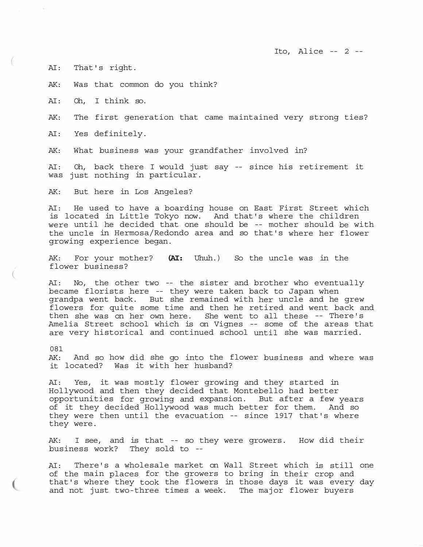Ito, Alice -- 2 --

AI: That's right.

AK: Was that common do you think?

AI: Oh, I think so.

AK: The first generation that came maintained very strong ties?

AI: Yes definitely.

AK: What business was your grandfather involved in?

AI: Oh, back there I would just say -- since his retirement it was just nothing in particular.

AK: But here in Los Angeles?

AI: He used to have a boarding house on East First Street which is located in Little Tokyo now. And that's where the children were until he decided that one should be -- mother should be with the uncle in Hermosa/Redondo area and so that's where her flower growing experience began.

AK: For your mother? **(AI:** Uhuh.) So the uncle was in the flower business?

AI: No, the other two -- the sister and brother who eventually became florists here -- they were taken back to Japan when grandpa went back. But she remained with her uncle and he grew flowers for quite some time and then he retired and went back and then she was on her own here. She went to all these -- There's Amelia Street school which is on Vignes -- some of the areas that are very historical and continued school until she was married.

081

 $\overline{(\ }$ 

AK: And so how did she go into the flower business and where was it located? Was it with her husband?

AI: Yes, it was mostly flower growing and they started in Hollywood and then they decided that Montebello had better opportunities for growing and expansion. But after a few years of it they decided Hollywood was much better for them. And so they were then until the evacuation -- since 1917 that's where they were.

AK: I see, and is that -- so they were growers. How did their business work? They sold to --

AI: There's a wholesale market on Wall Street which is still one of the main places for the growers to bring in their crop and that's where they took the flowers in those days it was every day and not just two-three times a week. The major flower buyers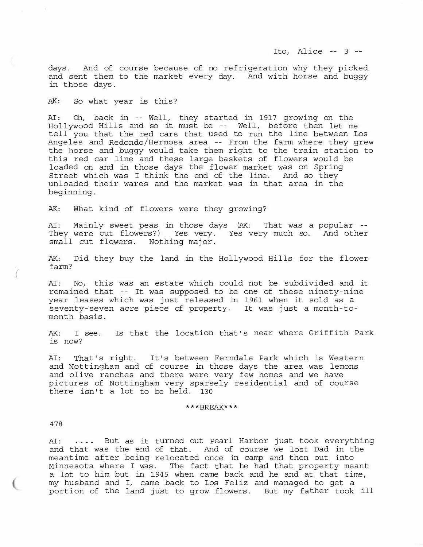days. And of course because of no refrigeration why they picked and sent them to the market every day. And with horse and buggy in those days.

AK: So what year is this?

AI: Oh, back in -- Well, they started in 1917 growing on the Hollywood Hills and so it must be -- Well, before then let me tell you that the red cars that used to run the line between Los Angeles and Redondo/Hermosa area -- From the farm where they grew the horse and buggy would take them right to the train station to this red car line and these large baskets of flowers would be loaded on and in those days the flower market was on Spring Street which was I think the end of the line. And so they unloaded their wares and the market was in that area in the beginning.

AK: What kind of flowers were they growing?

AI: Mainly sweet peas in those days (AK: That was a popular - Al: Mainly sweet peas in those days (An: That was a popular --<br>They were cut flowers?) Yes very. Yes very much so. And other small cut flowers. Nothing major.

AK: Did they buy the land in the Hollywood Hills for the flower farm?

AI: No, this was an estate which could not be subdivided and it remained that -- It was supposed to be one of these ninety-nine year leases which was just released in 1961 when it sold as a seventy-seven acre piece of property. It was just a month-to-<br>month basis.

AK: I see. Is that the location that's near where Griffith Park is now?

AI: That's right. It's between Ferndale Park which is Western and Nottingham and of course in those days the area was lemons and olive ranches and there were very few homes and we have pictures of Nottingham very sparsely residential and of course there isn't a lot to be held. 130

### \*\*\*BREAK\*\*\*

#### 478

*(* 

AI: .... But as it turned out Pearl Harbor just took everything and that was the end of that. And of course we lost Dad in the meantime after being relocated once in camp and then out into Minnesota where I was. The fact that he had that property meant a lot to him but in 1945 when came back and he and at that time, my husband and I, came back to Los Feliz and managed to get a portion of the land just to grow flowers. But my father took ill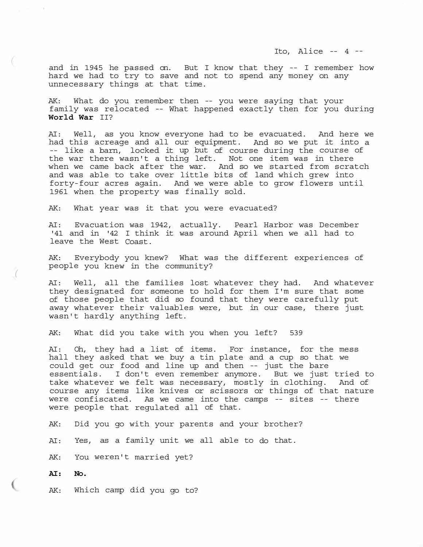and in 1945 he passed on. But I know that they -- I remember how hard we had to try to save and not to spend any money on any unnecessary things at that time.

AK: What do you remember then -- you were saying that your family was relocated -- What happened exactly then for you during **World War** II?

AI: Well, as you know everyone had to be evacuated. And here we had this acreage and all our equipment. And so we put it into a<br>-- like a barn, locked it up but of course during the course of the war there wasn't a thing left. Not one item was in there when we came back after the war. And so we started from scratch and was able to take over little bits of land which grew into forty-four acres again. And we were able to grow flowers until 1961 when the property was finally sold.

AK: What year was it that you were evacuated?

AI: Evacuation was 1942, actually. Pearl Harbor was December '41 and in '42 I think it was around April when we all had to leave the West Coast.

AK: Everybody you knew? What was the different experiences of people you knew in the community? *(* 

AI: Well, all the families lost whatever they had. And whatever they designated for someone to hold for them I'm sure that some of those people that did so found that they were carefully put away whatever their valuables were, but in our case, there just wasn't hardly anything left.

AK: What did you take with you when you left? 539

AI: Oh, they had a list of items. For instance, for the mess hall they asked that we buy a tin plate and a cup so that we could get our food and line up and then -- just the bare essentials. I don't even remember anymore. But we just tried to take whatever we felt was necessary, mostly in clothing. And of course any items like knives or scissors or things of that nature were confiscated. As we came into the camps -- sites -- there were people that regulated all of that.

AK: Did you go with your parents and your brother?

AI: Yes, as a family unit we all able to do that.

AK: You weren't married yet?

**AI: No.** 

AK: Which camp did you go to?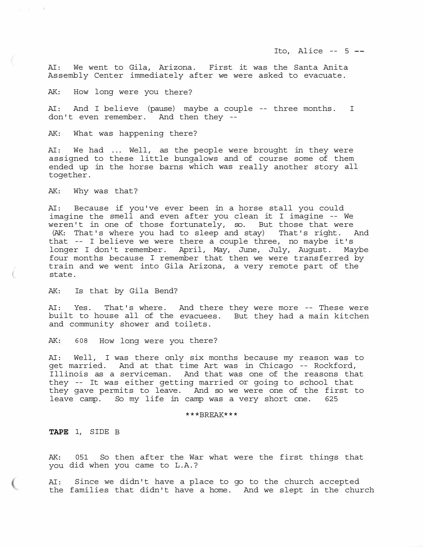Ito, Alice  $--$  5  $--$ 

AI: We went to Gila, Arizona. First it was the Santa Anita Assembly Center immediately after we were asked to evacuate.

AK: How long were you there?

AI: And I believe (pause) maybe a couple -- three months. I don't even remember. And then they --

AK: What was happening there?

AI: We had ... Well, as the people were brought in they were assigned to these little bungalows and of course some of them ended up in the horse barns which was really another story all together.

AK: Why was that?

 $\overline{(\ }$ 

AI: Because if you've ever been in a horse stall you could imagine the smell and even after you clean it I imagine -- We weren't in one of those fortunately, so. But those that were (AK: That's where you had to sleep and stay) That's right. And that -- I believe we were there a couple three, no maybe it's longer I don't remember. April, May, June, July, August. Maybe four months because I remember that then we were transferred by train and we went into Gila Arizona, a very remote part of the state.

AK: Is that by Gila Bend?

AI: Yes. That's where. And there they were more -- These were built to house all of the evacuees. But they had a main kitchen and community shower and toilets.

AK: 608 How long were you there?

AI: Well, I was there only six months because my reason was to get married. And at that time Art was in Chicago -- Rockford, Illinois as a serviceman. And that was one of the reasons that they -- It was either getting married or going to school that they gave permits to leave. And so we were one of the first to leave camp. So my life in camp was a very short one. 625

\*\*\*BREAK\*\*\*

**TAPE** 1, SIDE B

AK: 051 So then after the War what were the first things that you did when you came to L.A.?

AI: Since we didn't have a place to go to the church accepted the families that didn't have a home. And we slept in the church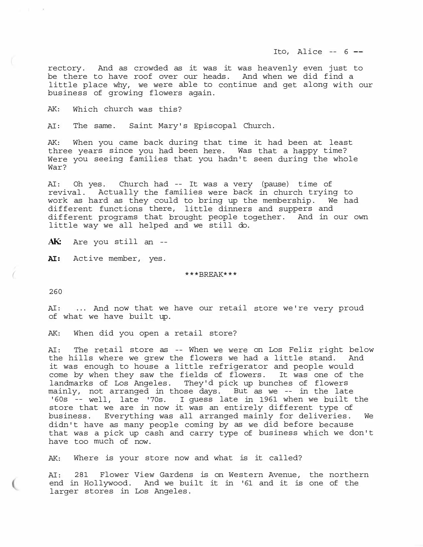Ito, Alice  $-$  6  $-$ 

rectory. And as crowded as it was it was heavenly even just to be there to have roof over our heads. And when we did find a little place why, we were able to continue and get along with our business of growing flowers again.

AK: Which church was this?

AI: The same. Saint Mary's Episcopal Church.

AK: When you came back during that time it had been at least three years since you had been here. Was that a happy time? Were you seeing families that you hadn't seen during the whole War?

AI: Oh yes. Church had -- It was a very (pause) time of revival. Actually the families were back in church trying to work as hard as they could to bring up the membership. We had different functions there, little dinners and suppers and different programs that brought people together. And in our own little way we all helped and we still do.

**AK:** Are you still an --

**AI:** Active member, yes.

\*\*\*BREAK\*\*\*

260

AI: ... And now that we have our retail store we're very proud of what we have built up.

AK: When did you open a retail store?

AI: The retail store as -- When we were on Los Feliz right below the hills where we grew the flowers we had a little stand. And it was enough to house a little refrigerator and people would come by when they saw the fields of flowers. It was one of the landmarks of Los Angeles. They'd pick up bunches of flowers mainly, not arranged in those days. But as we -- in the late '60s -- well, late '70s. I guess late in 1961 when we built the store that we are in now it was an entirely different type of business. Everything was all arranged mainly for deliveries. We didn't have as many people coming by as we did before because that was a pick up cash and carry type of business which we don't have too much of now.

AK: Where is your store now and what is it called?

AI: 281 Flower View Gardens is on Western Avenue, the northern end in Hollywood. And we built it in '61 and it is one of the larger stores in Los Angeles.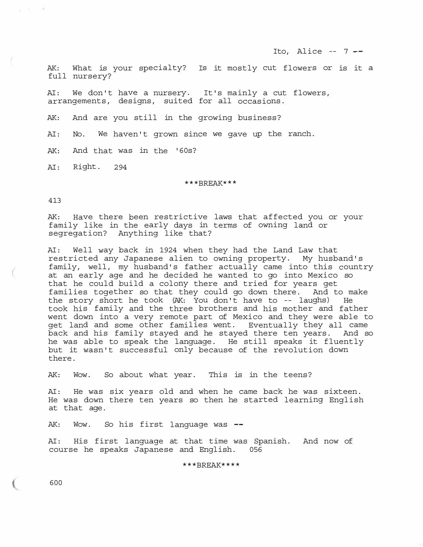Ito, Alice  $-7$   $-$ 

AK: What is your specialty? Is it mostly cut flowers or is it a full nursery?

AI: We don't have a nursery. It's mainly a cut flowers, arrangements, designs, suited for all occasions.

AK: And are you still in the growing business?

AI: No. We haven't grown since we gave up the ranch.

AK: And that was in the '60s?

AI: Right. 294

\*\*\*BREAK\*\*\*

413

an minister

AK: Have there been restrictive laws that affected you or your family like in the early days in terms of owning land or segregation? Anything like that?

AI: Well way back in 1924 when they had the Land Law that restricted any Japanese alien to owning property. My husband's family, well, my husband's father actually came into this country at an early age and he decided he wanted to go into Mexico so that he could build a colony there and tried for years get families together so that they could go down there. And to make the story short he took (AK: You don't have to -- laughs) He took his family and the three brothers and his mother and father went down into a very remote part of Mexico and they were able to get land and some other families went. Eventually they all came back and his family stayed and he stayed there ten years. And so he was able to speak the language. He still speaks it fluently but it wasn't successful only because of the revolution down there.

AK: Wow. So about what year. This is in the teens?

AI: He was six years old and when he came back he was sixteen. He was down there ten years so then he started learning English at that age.

AK: Wow. So his first language was --

AI: His first language at that time was Spanish. And now of course he speaks Japanese and English. 056

\*\*\*BREAK\*\*\*\*

600